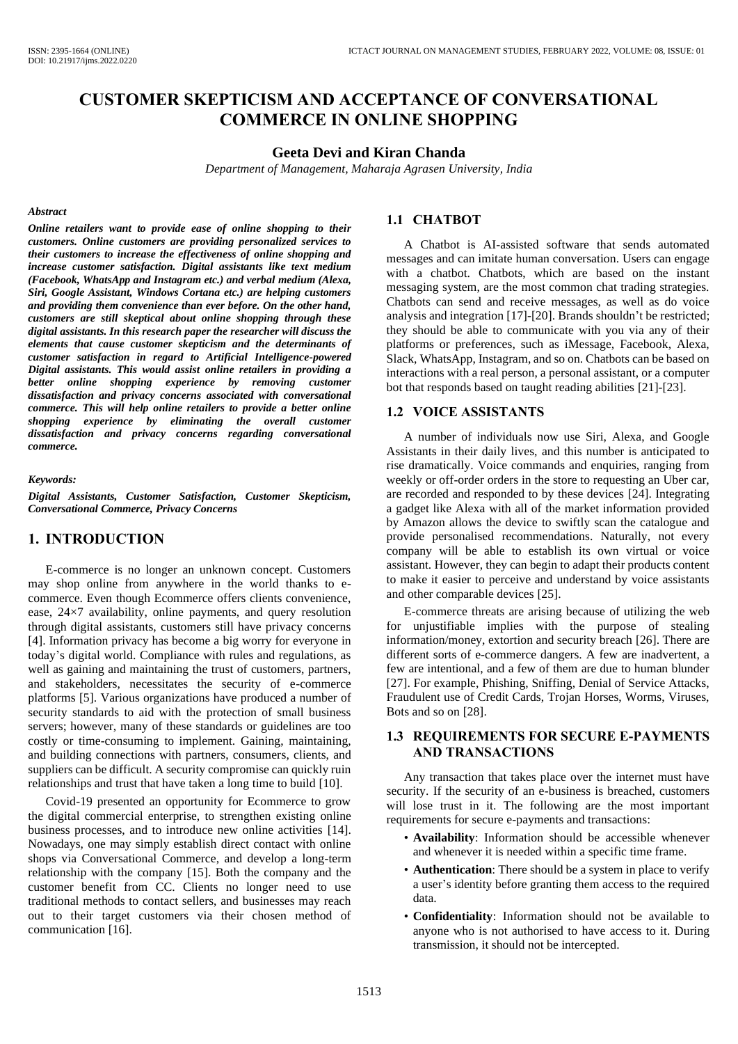# **CUSTOMER SKEPTICISM AND ACCEPTANCE OF CONVERSATIONAL COMMERCE IN ONLINE SHOPPING**

#### **Geeta Devi and Kiran Chanda**

*Department of Management, Maharaja Agrasen University, India*

### *Abstract*

*Online retailers want to provide ease of online shopping to their customers. Online customers are providing personalized services to their customers to increase the effectiveness of online shopping and increase customer satisfaction. Digital assistants like text medium (Facebook, WhatsApp and Instagram etc.) and verbal medium (Alexa, Siri, Google Assistant, Windows Cortana etc.) are helping customers and providing them convenience than ever before. On the other hand, customers are still skeptical about online shopping through these digital assistants. In this research paper the researcher will discuss the elements that cause customer skepticism and the determinants of customer satisfaction in regard to Artificial Intelligence-powered Digital assistants. This would assist online retailers in providing a better online shopping experience by removing customer dissatisfaction and privacy concerns associated with conversational commerce. This will help online retailers to provide a better online shopping experience by eliminating the overall customer dissatisfaction and privacy concerns regarding conversational commerce.*

#### *Keywords:*

*Digital Assistants, Customer Satisfaction, Customer Skepticism, Conversational Commerce, Privacy Concerns*

## **1. INTRODUCTION**

E-commerce is no longer an unknown concept. Customers may shop online from anywhere in the world thanks to ecommerce. Even though Ecommerce offers clients convenience, ease, 24×7 availability, online payments, and query resolution through digital assistants, customers still have privacy concerns [4]. Information privacy has become a big worry for everyone in today's digital world. Compliance with rules and regulations, as well as gaining and maintaining the trust of customers, partners, and stakeholders, necessitates the security of e-commerce platforms [5]. Various organizations have produced a number of security standards to aid with the protection of small business servers; however, many of these standards or guidelines are too costly or time-consuming to implement. Gaining, maintaining, and building connections with partners, consumers, clients, and suppliers can be difficult. A security compromise can quickly ruin relationships and trust that have taken a long time to build [10].

Covid-19 presented an opportunity for Ecommerce to grow the digital commercial enterprise, to strengthen existing online business processes, and to introduce new online activities [14]. Nowadays, one may simply establish direct contact with online shops via Conversational Commerce, and develop a long-term relationship with the company [15]. Both the company and the customer benefit from CC. Clients no longer need to use traditional methods to contact sellers, and businesses may reach out to their target customers via their chosen method of communication [16].

### **1.1 CHATBOT**

A Chatbot is AI-assisted software that sends automated messages and can imitate human conversation. Users can engage with a chatbot. Chatbots, which are based on the instant messaging system, are the most common chat trading strategies. Chatbots can send and receive messages, as well as do voice analysis and integration [17]-[20]. Brands shouldn't be restricted; they should be able to communicate with you via any of their platforms or preferences, such as iMessage, Facebook, Alexa, Slack, WhatsApp, Instagram, and so on. Chatbots can be based on interactions with a real person, a personal assistant, or a computer bot that responds based on taught reading abilities [21]-[23].

### **1.2 VOICE ASSISTANTS**

A number of individuals now use Siri, Alexa, and Google Assistants in their daily lives, and this number is anticipated to rise dramatically. Voice commands and enquiries, ranging from weekly or off-order orders in the store to requesting an Uber car, are recorded and responded to by these devices [24]. Integrating a gadget like Alexa with all of the market information provided by Amazon allows the device to swiftly scan the catalogue and provide personalised recommendations. Naturally, not every company will be able to establish its own virtual or voice assistant. However, they can begin to adapt their products content to make it easier to perceive and understand by voice assistants and other comparable devices [25].

E-commerce threats are arising because of utilizing the web for unjustifiable implies with the purpose of stealing information/money, extortion and security breach [26]. There are different sorts of e-commerce dangers. A few are inadvertent, a few are intentional, and a few of them are due to human blunder [27]. For example, Phishing, Sniffing, Denial of Service Attacks, Fraudulent use of Credit Cards, Trojan Horses, Worms, Viruses, Bots and so on [28].

### **1.3 REQUIREMENTS FOR SECURE E-PAYMENTS AND TRANSACTIONS**

Any transaction that takes place over the internet must have security. If the security of an e-business is breached, customers will lose trust in it. The following are the most important requirements for secure e-payments and transactions:

- **Availability**: Information should be accessible whenever and whenever it is needed within a specific time frame.
- **Authentication**: There should be a system in place to verify a user's identity before granting them access to the required data.
- **Confidentiality**: Information should not be available to anyone who is not authorised to have access to it. During transmission, it should not be intercepted.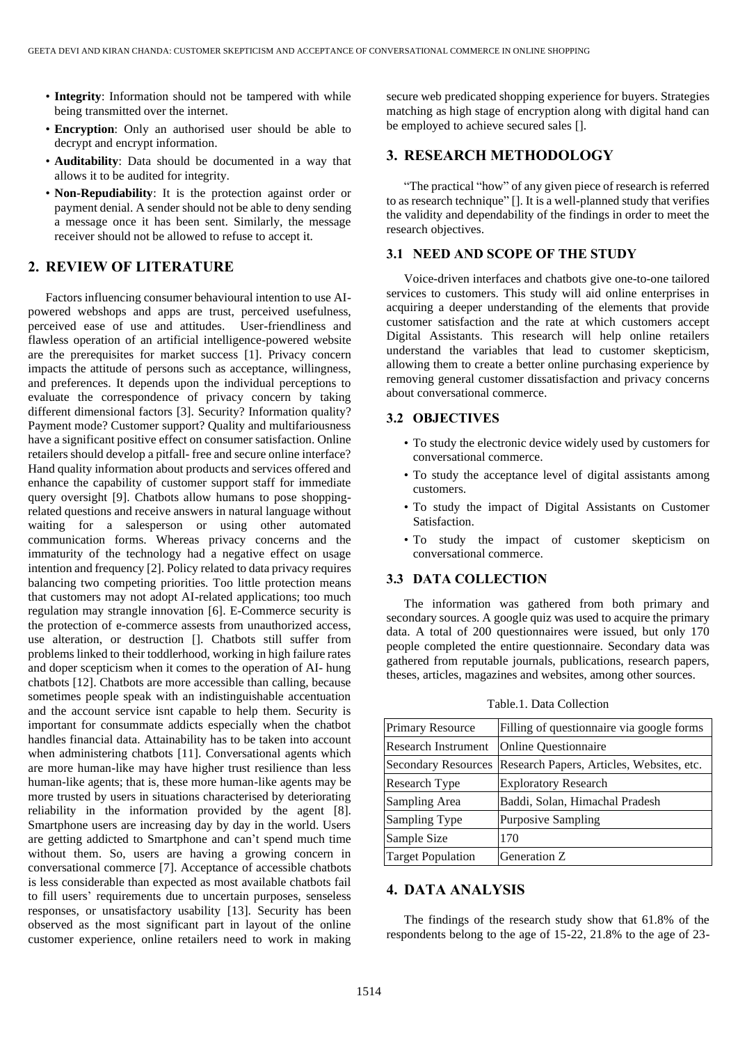- **Integrity**: Information should not be tampered with while being transmitted over the internet.
- **Encryption**: Only an authorised user should be able to decrypt and encrypt information.
- **Auditability**: Data should be documented in a way that allows it to be audited for integrity.
- **Non-Repudiability**: It is the protection against order or payment denial. A sender should not be able to deny sending a message once it has been sent. Similarly, the message receiver should not be allowed to refuse to accept it.

## **2. REVIEW OF LITERATURE**

Factors influencing consumer behavioural intention to use AIpowered webshops and apps are trust, perceived usefulness, perceived ease of use and attitudes. User-friendliness and flawless operation of an artificial intelligence-powered website are the prerequisites for market success [1]. Privacy concern impacts the attitude of persons such as acceptance, willingness, and preferences. It depends upon the individual perceptions to evaluate the correspondence of privacy concern by taking different dimensional factors [3]. Security? Information quality? Payment mode? Customer support? Quality and multifariousness have a significant positive effect on consumer satisfaction. Online retailers should develop a pitfall- free and secure online interface? Hand quality information about products and services offered and enhance the capability of customer support staff for immediate query oversight [9]. Chatbots allow humans to pose shoppingrelated questions and receive answers in natural language without waiting for a salesperson or using other automated communication forms. Whereas privacy concerns and the immaturity of the technology had a negative effect on usage intention and frequency [2]. Policy related to data privacy requires balancing two competing priorities. Too little protection means that customers may not adopt AI-related applications; too much regulation may strangle innovation [6]. E-Commerce security is the protection of e-commerce assests from unauthorized access, use alteration, or destruction []. Chatbots still suffer from problems linked to their toddlerhood, working in high failure rates and doper scepticism when it comes to the operation of AI- hung chatbots [12]. Chatbots are more accessible than calling, because sometimes people speak with an indistinguishable accentuation and the account service isnt capable to help them. Security is important for consummate addicts especially when the chatbot handles financial data. Attainability has to be taken into account when administering chatbots [11]. Conversational agents which are more human-like may have higher trust resilience than less human-like agents; that is, these more human-like agents may be more trusted by users in situations characterised by deteriorating reliability in the information provided by the agent [8]. Smartphone users are increasing day by day in the world. Users are getting addicted to Smartphone and can't spend much time without them. So, users are having a growing concern in conversational commerce [7]. Acceptance of accessible chatbots is less considerable than expected as most available chatbots fail to fill users' requirements due to uncertain purposes, senseless responses, or unsatisfactory usability [13]. Security has been observed as the most significant part in layout of the online customer experience, online retailers need to work in making secure web predicated shopping experience for buyers. Strategies matching as high stage of encryption along with digital hand can be employed to achieve secured sales [].

## **3. RESEARCH METHODOLOGY**

"The practical "how" of any given piece of research is referred to as research technique" []. It is a well-planned study that verifies the validity and dependability of the findings in order to meet the research objectives.

### **3.1 NEED AND SCOPE OF THE STUDY**

Voice-driven interfaces and chatbots give one-to-one tailored services to customers. This study will aid online enterprises in acquiring a deeper understanding of the elements that provide customer satisfaction and the rate at which customers accept Digital Assistants. This research will help online retailers understand the variables that lead to customer skepticism, allowing them to create a better online purchasing experience by removing general customer dissatisfaction and privacy concerns about conversational commerce.

### **3.2 OBJECTIVES**

- To study the electronic device widely used by customers for conversational commerce.
- To study the acceptance level of digital assistants among customers.
- To study the impact of Digital Assistants on Customer Satisfaction.
- To study the impact of customer skepticism on conversational commerce.

### **3.3 DATA COLLECTION**

The information was gathered from both primary and secondary sources. A google quiz was used to acquire the primary data. A total of 200 questionnaires were issued, but only 170 people completed the entire questionnaire. Secondary data was gathered from reputable journals, publications, research papers, theses, articles, magazines and websites, among other sources.

| <b>Primary Resource</b>    | Filling of questionnaire via google forms |
|----------------------------|-------------------------------------------|
| <b>Research Instrument</b> | <b>Online Questionnaire</b>               |
| <b>Secondary Resources</b> | Research Papers, Articles, Websites, etc. |
| Research Type              | <b>Exploratory Research</b>               |
| Sampling Area              | Baddi, Solan, Himachal Pradesh            |
| Sampling Type              | <b>Purposive Sampling</b>                 |
| Sample Size                | 170                                       |
| <b>Target Population</b>   | Generation Z                              |

Table.1. Data Collection

## **4. DATA ANALYSIS**

The findings of the research study show that 61.8% of the respondents belong to the age of 15-22, 21.8% to the age of 23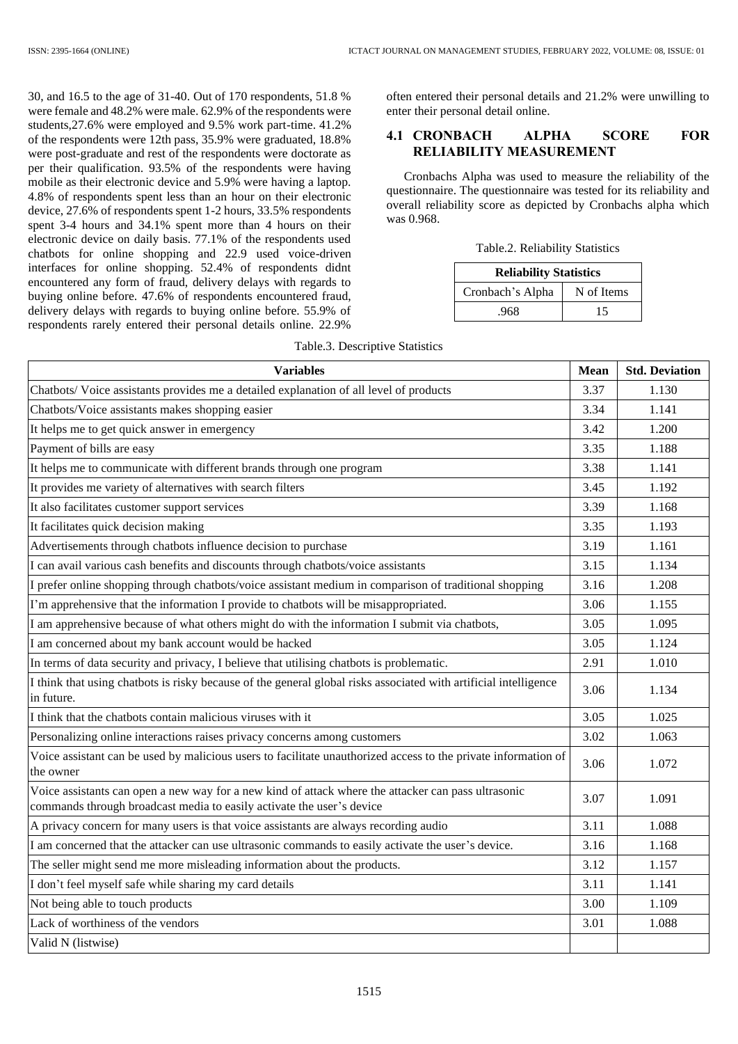30, and 16.5 to the age of 31-40. Out of 170 respondents, 51.8 % were female and 48.2% were male. 62.9% of the respondents were students,27.6% were employed and 9.5% work part-time. 41.2% of the respondents were 12th pass, 35.9% were graduated, 18.8% were post-graduate and rest of the respondents were doctorate as per their qualification. 93.5% of the respondents were having mobile as their electronic device and 5.9% were having a laptop. 4.8% of respondents spent less than an hour on their electronic device, 27.6% of respondents spent 1-2 hours, 33.5% respondents spent 3-4 hours and 34.1% spent more than 4 hours on their electronic device on daily basis. 77.1% of the respondents used chatbots for online shopping and 22.9 used voice-driven interfaces for online shopping. 52.4% of respondents didnt encountered any form of fraud, delivery delays with regards to buying online before. 47.6% of respondents encountered fraud, delivery delays with regards to buying online before. 55.9% of respondents rarely entered their personal details online. 22.9%

often entered their personal details and 21.2% were unwilling to enter their personal detail online.

## **4.1 CRONBACH ALPHA SCORE FOR RELIABILITY MEASUREMENT**

Cronbachs Alpha was used to measure the reliability of the questionnaire. The questionnaire was tested for its reliability and overall reliability score as depicted by Cronbachs alpha which was 0.968.

| Table.2. Reliability Statistics |  |
|---------------------------------|--|
|---------------------------------|--|

| <b>Reliability Statistics</b> |            |  |  |  |
|-------------------------------|------------|--|--|--|
| Cronbach's Alpha              | N of Items |  |  |  |
| .968                          | 15         |  |  |  |

| <b>Variables</b>                                                                                                                                                             | Mean | <b>Std. Deviation</b> |
|------------------------------------------------------------------------------------------------------------------------------------------------------------------------------|------|-----------------------|
| Chatbots/ Voice assistants provides me a detailed explanation of all level of products                                                                                       | 3.37 | 1.130                 |
| Chatbots/Voice assistants makes shopping easier                                                                                                                              | 3.34 | 1.141                 |
| It helps me to get quick answer in emergency                                                                                                                                 | 3.42 | 1.200                 |
| Payment of bills are easy                                                                                                                                                    | 3.35 | 1.188                 |
| It helps me to communicate with different brands through one program                                                                                                         | 3.38 | 1.141                 |
| It provides me variety of alternatives with search filters                                                                                                                   | 3.45 | 1.192                 |
| It also facilitates customer support services                                                                                                                                | 3.39 | 1.168                 |
| It facilitates quick decision making                                                                                                                                         | 3.35 | 1.193                 |
| Advertisements through chatbots influence decision to purchase                                                                                                               | 3.19 | 1.161                 |
| I can avail various cash benefits and discounts through chatbots/voice assistants                                                                                            | 3.15 | 1.134                 |
| I prefer online shopping through chatbots/voice assistant medium in comparison of traditional shopping                                                                       | 3.16 | 1.208                 |
| I'm apprehensive that the information I provide to chatbots will be misappropriated.                                                                                         | 3.06 | 1.155                 |
| I am apprehensive because of what others might do with the information I submit via chatbots,                                                                                | 3.05 | 1.095                 |
| I am concerned about my bank account would be hacked                                                                                                                         | 3.05 | 1.124                 |
| In terms of data security and privacy, I believe that utilising chatbots is problematic.                                                                                     | 2.91 | 1.010                 |
| I think that using chatbots is risky because of the general global risks associated with artificial intelligence<br>in future.                                               | 3.06 | 1.134                 |
| I think that the chatbots contain malicious viruses with it                                                                                                                  | 3.05 | 1.025                 |
| Personalizing online interactions raises privacy concerns among customers                                                                                                    | 3.02 | 1.063                 |
| Voice assistant can be used by malicious users to facilitate unauthorized access to the private information of<br>the owner                                                  | 3.06 | 1.072                 |
| Voice assistants can open a new way for a new kind of attack where the attacker can pass ultrasonic<br>commands through broadcast media to easily activate the user's device | 3.07 | 1.091                 |
| A privacy concern for many users is that voice assistants are always recording audio                                                                                         | 3.11 | 1.088                 |
| I am concerned that the attacker can use ultrasonic commands to easily activate the user's device.                                                                           | 3.16 | 1.168                 |
| The seller might send me more misleading information about the products.                                                                                                     | 3.12 | 1.157                 |
| I don't feel myself safe while sharing my card details                                                                                                                       | 3.11 | 1.141                 |
| Not being able to touch products                                                                                                                                             | 3.00 | 1.109                 |
| Lack of worthiness of the vendors                                                                                                                                            | 3.01 | 1.088                 |
| Valid N (listwise)                                                                                                                                                           |      |                       |

### Table.3. Descriptive Statistics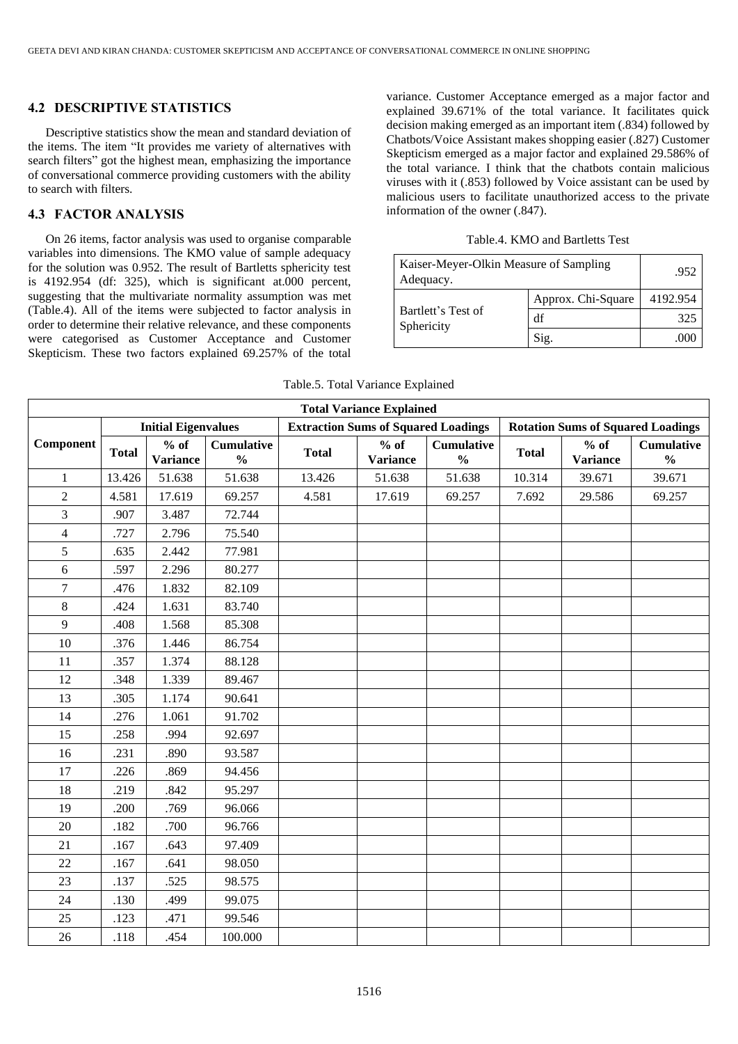### **4.2 DESCRIPTIVE STATISTICS**

Descriptive statistics show the mean and standard deviation of the items. The item "It provides me variety of alternatives with search filters" got the highest mean, emphasizing the importance of conversational commerce providing customers with the ability to search with filters.

## **4.3 FACTOR ANALYSIS**

On 26 items, factor analysis was used to organise comparable variables into dimensions. The KMO value of sample adequacy for the solution was 0.952. The result of Bartletts sphericity test is 4192.954 (df: 325), which is significant at.000 percent, suggesting that the multivariate normality assumption was met (Table.4). All of the items were subjected to factor analysis in order to determine their relative relevance, and these components were categorised as Customer Acceptance and Customer Skepticism. These two factors explained 69.257% of the total variance. Customer Acceptance emerged as a major factor and explained 39.671% of the total variance. It facilitates quick decision making emerged as an important item (.834) followed by Chatbots/Voice Assistant makes shopping easier (.827) Customer Skepticism emerged as a major factor and explained 29.586% of the total variance. I think that the chatbots contain malicious viruses with it (.853) followed by Voice assistant can be used by malicious users to facilitate unauthorized access to the private information of the owner (.847).

#### Table.4. KMO and Bartletts Test

| Kaiser-Meyer-Olkin Measure of Sampling<br>Adequacy. | .952               |          |
|-----------------------------------------------------|--------------------|----------|
|                                                     | Approx. Chi-Square | 4192.954 |
| Bartlett's Test of<br>Sphericity                    | df                 | 325      |
|                                                     | Sig.               |          |

| <b>Total Variance Explained</b> |              |                           |                                    |                                            |                           |                                    |                                          |                           |                                    |
|---------------------------------|--------------|---------------------------|------------------------------------|--------------------------------------------|---------------------------|------------------------------------|------------------------------------------|---------------------------|------------------------------------|
| <b>Initial Eigenvalues</b>      |              |                           |                                    | <b>Extraction Sums of Squared Loadings</b> |                           |                                    | <b>Rotation Sums of Squared Loadings</b> |                           |                                    |
| Component                       | <b>Total</b> | $%$ of<br><b>Variance</b> | <b>Cumulative</b><br>$\frac{0}{0}$ | <b>Total</b>                               | $%$ of<br><b>Variance</b> | <b>Cumulative</b><br>$\frac{0}{0}$ | <b>Total</b>                             | $%$ of<br><b>Variance</b> | <b>Cumulative</b><br>$\frac{0}{0}$ |
| $\mathbf{1}$                    | 13.426       | 51.638                    | 51.638                             | 13.426                                     | 51.638                    | 51.638                             | 10.314                                   | 39.671                    | 39.671                             |
| $\overline{2}$                  | 4.581        | 17.619                    | 69.257                             | 4.581                                      | 17.619                    | 69.257                             | 7.692                                    | 29.586                    | 69.257                             |
| 3                               | .907         | 3.487                     | 72.744                             |                                            |                           |                                    |                                          |                           |                                    |
| $\overline{\mathcal{L}}$        | .727         | 2.796                     | 75.540                             |                                            |                           |                                    |                                          |                           |                                    |
| 5                               | .635         | 2.442                     | 77.981                             |                                            |                           |                                    |                                          |                           |                                    |
| $6\,$                           | .597         | 2.296                     | 80.277                             |                                            |                           |                                    |                                          |                           |                                    |
| 7                               | .476         | 1.832                     | 82.109                             |                                            |                           |                                    |                                          |                           |                                    |
| $8\,$                           | .424         | 1.631                     | 83.740                             |                                            |                           |                                    |                                          |                           |                                    |
| 9                               | .408         | 1.568                     | 85.308                             |                                            |                           |                                    |                                          |                           |                                    |
| 10                              | .376         | 1.446                     | 86.754                             |                                            |                           |                                    |                                          |                           |                                    |
| 11                              | .357         | 1.374                     | 88.128                             |                                            |                           |                                    |                                          |                           |                                    |
| 12                              | .348         | 1.339                     | 89.467                             |                                            |                           |                                    |                                          |                           |                                    |
| 13                              | .305         | 1.174                     | 90.641                             |                                            |                           |                                    |                                          |                           |                                    |
| 14                              | .276         | 1.061                     | 91.702                             |                                            |                           |                                    |                                          |                           |                                    |
| 15                              | .258         | .994                      | 92.697                             |                                            |                           |                                    |                                          |                           |                                    |
| 16                              | .231         | .890                      | 93.587                             |                                            |                           |                                    |                                          |                           |                                    |
| 17                              | .226         | .869                      | 94.456                             |                                            |                           |                                    |                                          |                           |                                    |
| 18                              | .219         | .842                      | 95.297                             |                                            |                           |                                    |                                          |                           |                                    |
| 19                              | .200         | .769                      | 96.066                             |                                            |                           |                                    |                                          |                           |                                    |
| 20                              | .182         | .700                      | 96.766                             |                                            |                           |                                    |                                          |                           |                                    |
| 21                              | .167         | .643                      | 97.409                             |                                            |                           |                                    |                                          |                           |                                    |
| 22                              | .167         | .641                      | 98.050                             |                                            |                           |                                    |                                          |                           |                                    |
| 23                              | .137         | .525                      | 98.575                             |                                            |                           |                                    |                                          |                           |                                    |
| 24                              | .130         | .499                      | 99.075                             |                                            |                           |                                    |                                          |                           |                                    |
| 25                              | .123         | .471                      | 99.546                             |                                            |                           |                                    |                                          |                           |                                    |
| 26                              | .118         | .454                      | 100.000                            |                                            |                           |                                    |                                          |                           |                                    |

#### Table.5. Total Variance Explained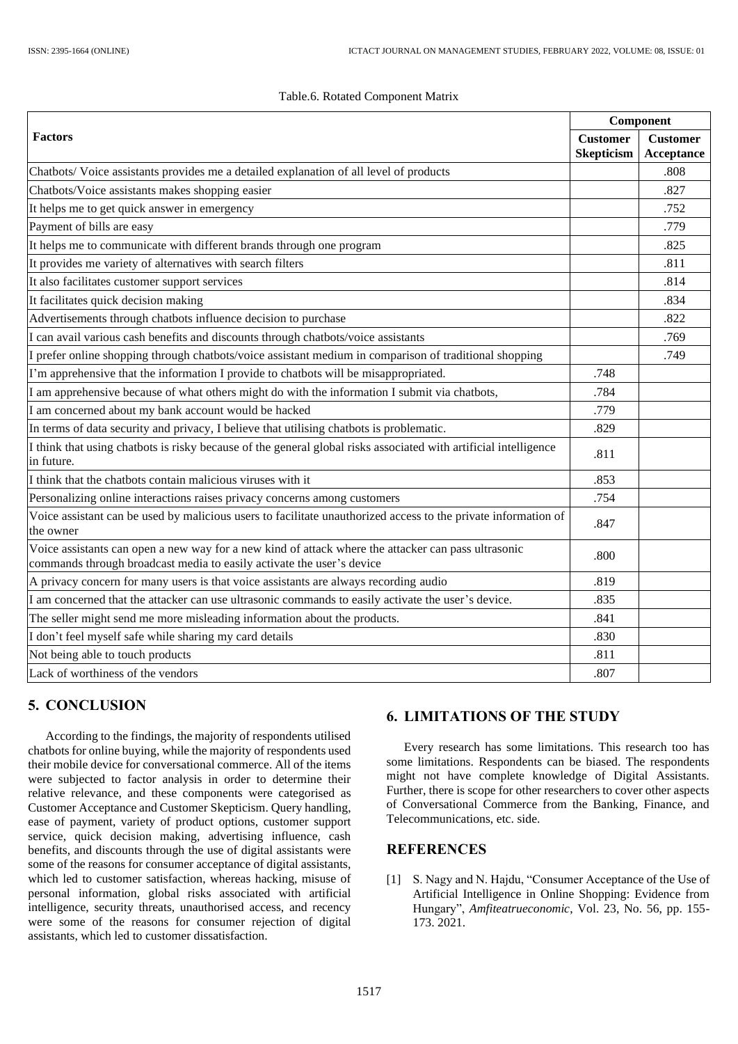|  |  | Table.6. Rotated Component Matrix |  |
|--|--|-----------------------------------|--|
|--|--|-----------------------------------|--|

|                                                                                                                                                                              |                                      | Component                     |  |
|------------------------------------------------------------------------------------------------------------------------------------------------------------------------------|--------------------------------------|-------------------------------|--|
| <b>Factors</b>                                                                                                                                                               | <b>Customer</b><br><b>Skepticism</b> | <b>Customer</b><br>Acceptance |  |
| Chatbots/Voice assistants provides me a detailed explanation of all level of products                                                                                        |                                      | .808                          |  |
| Chatbots/Voice assistants makes shopping easier                                                                                                                              |                                      | .827                          |  |
| It helps me to get quick answer in emergency                                                                                                                                 |                                      | .752                          |  |
| Payment of bills are easy                                                                                                                                                    |                                      | .779                          |  |
| It helps me to communicate with different brands through one program                                                                                                         |                                      | .825                          |  |
| It provides me variety of alternatives with search filters                                                                                                                   |                                      | .811                          |  |
| It also facilitates customer support services                                                                                                                                |                                      | .814                          |  |
| It facilitates quick decision making                                                                                                                                         |                                      | .834                          |  |
| Advertisements through chatbots influence decision to purchase                                                                                                               |                                      | .822                          |  |
| I can avail various cash benefits and discounts through chatbots/voice assistants                                                                                            |                                      | .769                          |  |
| I prefer online shopping through chatbots/voice assistant medium in comparison of traditional shopping                                                                       |                                      | .749                          |  |
| I'm apprehensive that the information I provide to chatbots will be misappropriated.                                                                                         | .748                                 |                               |  |
| I am apprehensive because of what others might do with the information I submit via chatbots,                                                                                | .784                                 |                               |  |
| I am concerned about my bank account would be hacked                                                                                                                         | .779                                 |                               |  |
| In terms of data security and privacy, I believe that utilising chatbots is problematic.                                                                                     | .829                                 |                               |  |
| I think that using chatbots is risky because of the general global risks associated with artificial intelligence<br>in future.                                               | .811                                 |                               |  |
| I think that the chatbots contain malicious viruses with it                                                                                                                  | .853                                 |                               |  |
| Personalizing online interactions raises privacy concerns among customers                                                                                                    | .754                                 |                               |  |
| Voice assistant can be used by malicious users to facilitate unauthorized access to the private information of<br>the owner                                                  | .847                                 |                               |  |
| Voice assistants can open a new way for a new kind of attack where the attacker can pass ultrasonic<br>commands through broadcast media to easily activate the user's device | .800                                 |                               |  |
| A privacy concern for many users is that voice assistants are always recording audio                                                                                         | .819                                 |                               |  |
| I am concerned that the attacker can use ultrasonic commands to easily activate the user's device.                                                                           | .835                                 |                               |  |
| The seller might send me more misleading information about the products.                                                                                                     | .841                                 |                               |  |
| I don't feel myself safe while sharing my card details                                                                                                                       | .830                                 |                               |  |
| Not being able to touch products                                                                                                                                             | .811                                 |                               |  |
| Lack of worthiness of the vendors                                                                                                                                            | .807                                 |                               |  |

## **5. CONCLUSION**

According to the findings, the majority of respondents utilised chatbots for online buying, while the majority of respondents used their mobile device for conversational commerce. All of the items were subjected to factor analysis in order to determine their relative relevance, and these components were categorised as Customer Acceptance and Customer Skepticism. Query handling, ease of payment, variety of product options, customer support service, quick decision making, advertising influence, cash benefits, and discounts through the use of digital assistants were some of the reasons for consumer acceptance of digital assistants, which led to customer satisfaction, whereas hacking, misuse of personal information, global risks associated with artificial intelligence, security threats, unauthorised access, and recency were some of the reasons for consumer rejection of digital assistants, which led to customer dissatisfaction.

## **6. LIMITATIONS OF THE STUDY**

Every research has some limitations. This research too has some limitations. Respondents can be biased. The respondents might not have complete knowledge of Digital Assistants. Further, there is scope for other researchers to cover other aspects of Conversational Commerce from the Banking, Finance, and Telecommunications, etc. side.

## **REFERENCES**

[1] S. Nagy and N. Hajdu, "Consumer Acceptance of the Use of Artificial Intelligence in Online Shopping: Evidence from Hungary", *Amfiteatrueconomic*, Vol. 23, No. 56, pp. 155- 173. 2021.